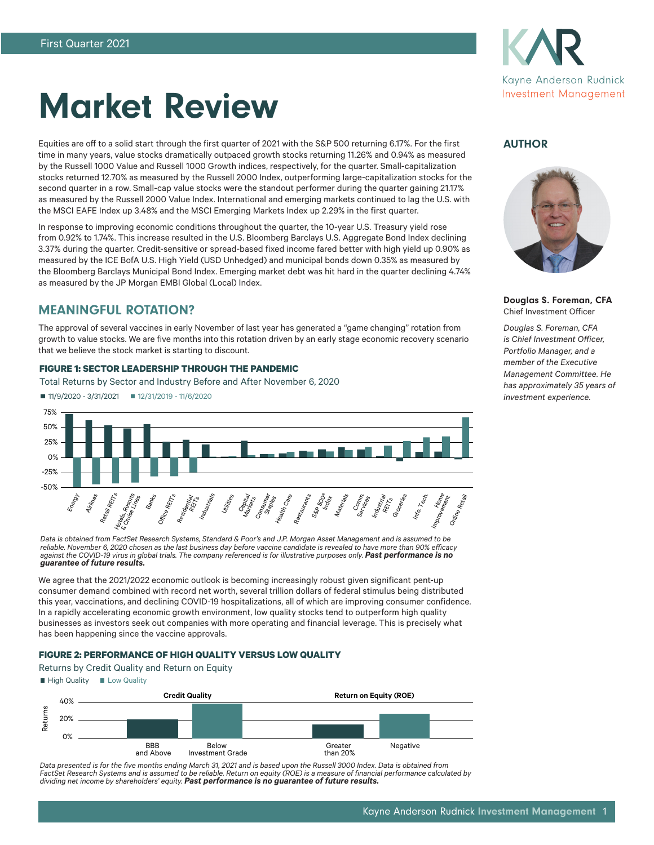

# Market Review

Equities are off to a solid start through the first quarter of 2021 with the S&P 500 returning 6.17%. For the first time in many years, value stocks dramatically outpaced growth stocks returning 11.26% and 0.94% as measured by the Russell 1000 Value and Russell 1000 Growth indices, respectively, for the quarter. Small-capitalization stocks returned 12.70% as measured by the Russell 2000 Index, outperforming large-capitalization stocks for the second quarter in a row. Small-cap value stocks were the standout performer during the quarter gaining 21.17% as measured by the Russell 2000 Value Index. International and emerging markets continued to lag the U.S. with the MSCI EAFE Index up 3.48% and the MSCI Emerging Markets Index up 2.29% in the first quarter.

In response to improving economic conditions throughout the quarter, the 10-year U.S. Treasury yield rose from 0.92% to 1.74%. This increase resulted in the U.S. Bloomberg Barclays U.S. Aggregate Bond Index declining 3.37% during the quarter. Credit-sensitive or spread-based fixed income fared better with high yield up 0.90% as measured by the ICE BofA U.S. High Yield (USD Unhedged) and municipal bonds down 0.35% as measured by the Bloomberg Barclays Municipal Bond Index. Emerging market debt was hit hard in the quarter declining 4.74% as measured by the JP Morgan EMBI Global (Local) Index.

# MEANINGFUL ROTATION?

The approval of several vaccines in early November of last year has generated a "game changing" rotation from growth to value stocks. We are five months into this rotation driven by an early stage economic recovery scenario that we believe the stock market is starting to discount.

#### **FIGURE 1: SECTOR LEADERSHIP THROUGH THE PANDEMIC**

Total Returns by Sector and Industry Before and After November 6, 2020



*Data is obtained from FactSet Research Systems, Standard & Poor's and J.P. Morgan Asset Management and is assumed to be reliable. November 6, 2020 chosen as the last business day before vaccine candidate is revealed to have more than 90% efficacy*  against the COVID-19 virus in global trials. The company referenced is for illustrative purposes only. **Past performance is no** *guarantee of future results.*

We agree that the 2021/2022 economic outlook is becoming increasingly robust given significant pent-up consumer demand combined with record net worth, several trillion dollars of federal stimulus being distributed this year, vaccinations, and declining COVID-19 hospitalizations, all of which are improving consumer confidence. In a rapidly accelerating economic growth environment, low quality stocks tend to outperform high quality businesses as investors seek out companies with more operating and financial leverage. This is precisely what has been happening since the vaccine approvals.

#### **FIGURE 2: PERFORMANCE OF HIGH QUALITY VERSUS LOW QUALITY**

Returns by Credit Quality and Return on Equity





*Data presented is for the five months ending March 31, 2021 and is based upon the Russell 3000 Index. Data is obtained from FactSet Research Systems and is assumed to be reliable. Return on equity (ROE) is a measure of financial performance calculated by dividing net income by shareholders' equity. Past performance is no guarantee of future results.*

# AUTHOR



Douglas S. Foreman, CFA Chief Investment Officer

*Douglas S. Foreman, CFA is Chief Investment Officer, Portfolio Manager, and a member of the Executive Management Committee. He has approximately 35 years of investment experience.*